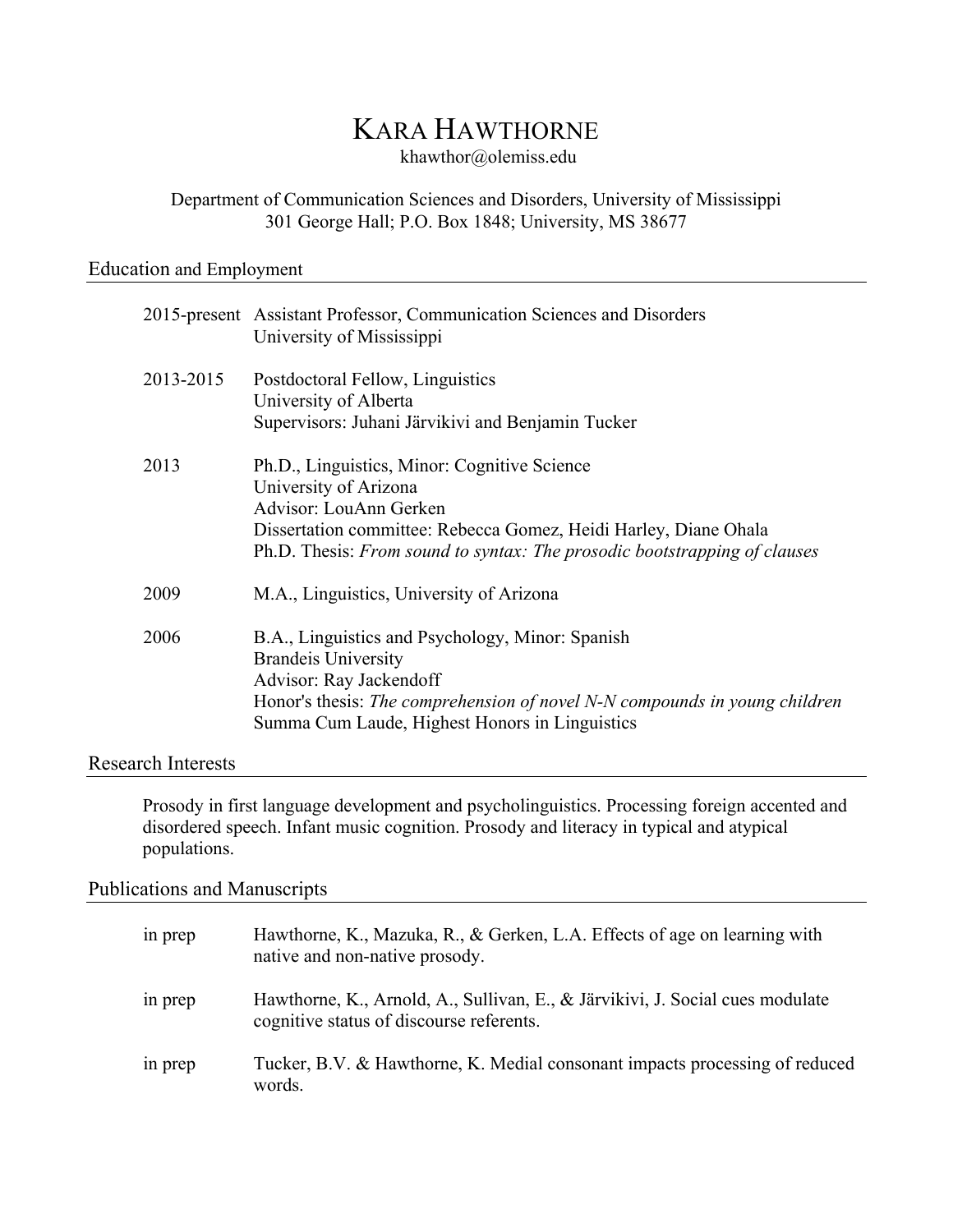# KARA HAWTHORNE

khawthor@olemiss.edu

## Department of Communication Sciences and Disorders, University of Mississippi 301 George Hall; P.O. Box 1848; University, MS 38677

#### Education and Employment

|           | 2015-present Assistant Professor, Communication Sciences and Disorders<br>University of Mississippi                                                                                                                                              |
|-----------|--------------------------------------------------------------------------------------------------------------------------------------------------------------------------------------------------------------------------------------------------|
| 2013-2015 | Postdoctoral Fellow, Linguistics<br>University of Alberta<br>Supervisors: Juhani Järvikivi and Benjamin Tucker                                                                                                                                   |
| 2013      | Ph.D., Linguistics, Minor: Cognitive Science<br>University of Arizona<br>Advisor: LouAnn Gerken<br>Dissertation committee: Rebecca Gomez, Heidi Harley, Diane Ohala<br>Ph.D. Thesis: From sound to syntax: The prosodic bootstrapping of clauses |
| 2009      | M.A., Linguistics, University of Arizona                                                                                                                                                                                                         |
| 2006      | B.A., Linguistics and Psychology, Minor: Spanish<br><b>Brandeis University</b><br>Advisor: Ray Jackendoff<br>Honor's thesis: The comprehension of novel N-N compounds in young children<br>Summa Cum Laude, Highest Honors in Linguistics        |

#### Research Interests

Prosody in first language development and psycholinguistics. Processing foreign accented and disordered speech. Infant music cognition. Prosody and literacy in typical and atypical populations.

### Publications and Manuscripts

| in prep | Hawthorne, K., Mazuka, R., & Gerken, L.A. Effects of age on learning with<br>native and non-native prosody.               |
|---------|---------------------------------------------------------------------------------------------------------------------------|
| in prep | Hawthorne, K., Arnold, A., Sullivan, E., & Järvikivi, J. Social cues modulate<br>cognitive status of discourse referents. |
| in prep | Tucker, B.V. & Hawthorne, K. Medial consonant impacts processing of reduced<br>words.                                     |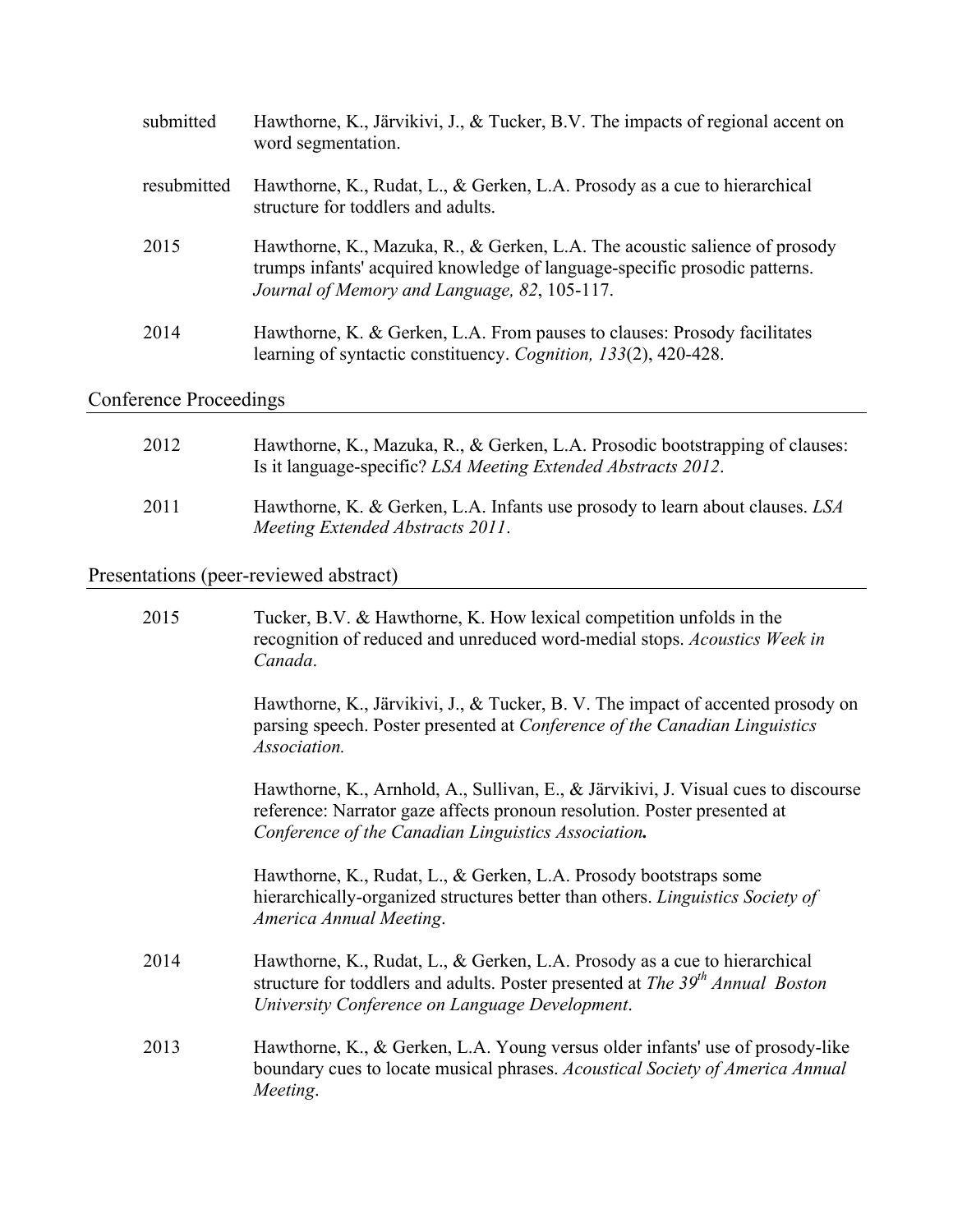| submitted   | Hawthorne, K., Järvikivi, J., & Tucker, B.V. The impacts of regional accent on<br>word segmentation.                                                                                                     |
|-------------|----------------------------------------------------------------------------------------------------------------------------------------------------------------------------------------------------------|
| resubmitted | Hawthorne, K., Rudat, L., & Gerken, L.A. Prosody as a cue to hierarchical<br>structure for toddlers and adults.                                                                                          |
| 2015        | Hawthorne, K., Mazuka, R., & Gerken, L.A. The acoustic salience of prosody<br>trumps infants' acquired knowledge of language-specific prosodic patterns.<br>Journal of Memory and Language, 82, 105-117. |
| 2014        | Hawthorne, K. & Gerken, L.A. From pauses to clauses: Prosody facilitates<br>learning of syntactic constituency. Cognition, 133(2), 420-428.                                                              |

## Conference Proceedings

| 2012 | Hawthorne, K., Mazuka, R., & Gerken, L.A. Prosodic bootstrapping of clauses:<br>Is it language-specific? LSA Meeting Extended Abstracts 2012. |
|------|-----------------------------------------------------------------------------------------------------------------------------------------------|
| 2011 | Hawthorne, K. & Gerken, L.A. Infants use prosody to learn about clauses. LSA<br>Meeting Extended Abstracts 2011.                              |

## Presentations (peer-reviewed abstract)

| 2015 | Tucker, B.V. & Hawthorne, K. How lexical competition unfolds in the<br>recognition of reduced and unreduced word-medial stops. Acoustics Week in<br>Canada.                                                           |
|------|-----------------------------------------------------------------------------------------------------------------------------------------------------------------------------------------------------------------------|
|      | Hawthorne, K., Järvikivi, J., & Tucker, B. V. The impact of accented prosody on<br>parsing speech. Poster presented at <i>Conference of the Canadian Linguistics</i><br>Association.                                  |
|      | Hawthorne, K., Arnhold, A., Sullivan, E., & Järvikivi, J. Visual cues to discourse<br>reference: Narrator gaze affects pronoun resolution. Poster presented at<br>Conference of the Canadian Linguistics Association. |
|      | Hawthorne, K., Rudat, L., & Gerken, L.A. Prosody bootstraps some<br>hierarchically-organized structures better than others. <i>Linguistics Society of</i><br>America Annual Meeting.                                  |
| 2014 | Hawthorne, K., Rudat, L., & Gerken, L.A. Prosody as a cue to hierarchical<br>structure for toddlers and adults. Poster presented at The 39th Annual Boston<br>University Conference on Language Development.          |
| 2013 | Hawthorne, K., & Gerken, L.A. Young versus older infants' use of prosody-like<br>boundary cues to locate musical phrases. Acoustical Society of America Annual<br>Meeting.                                            |
|      |                                                                                                                                                                                                                       |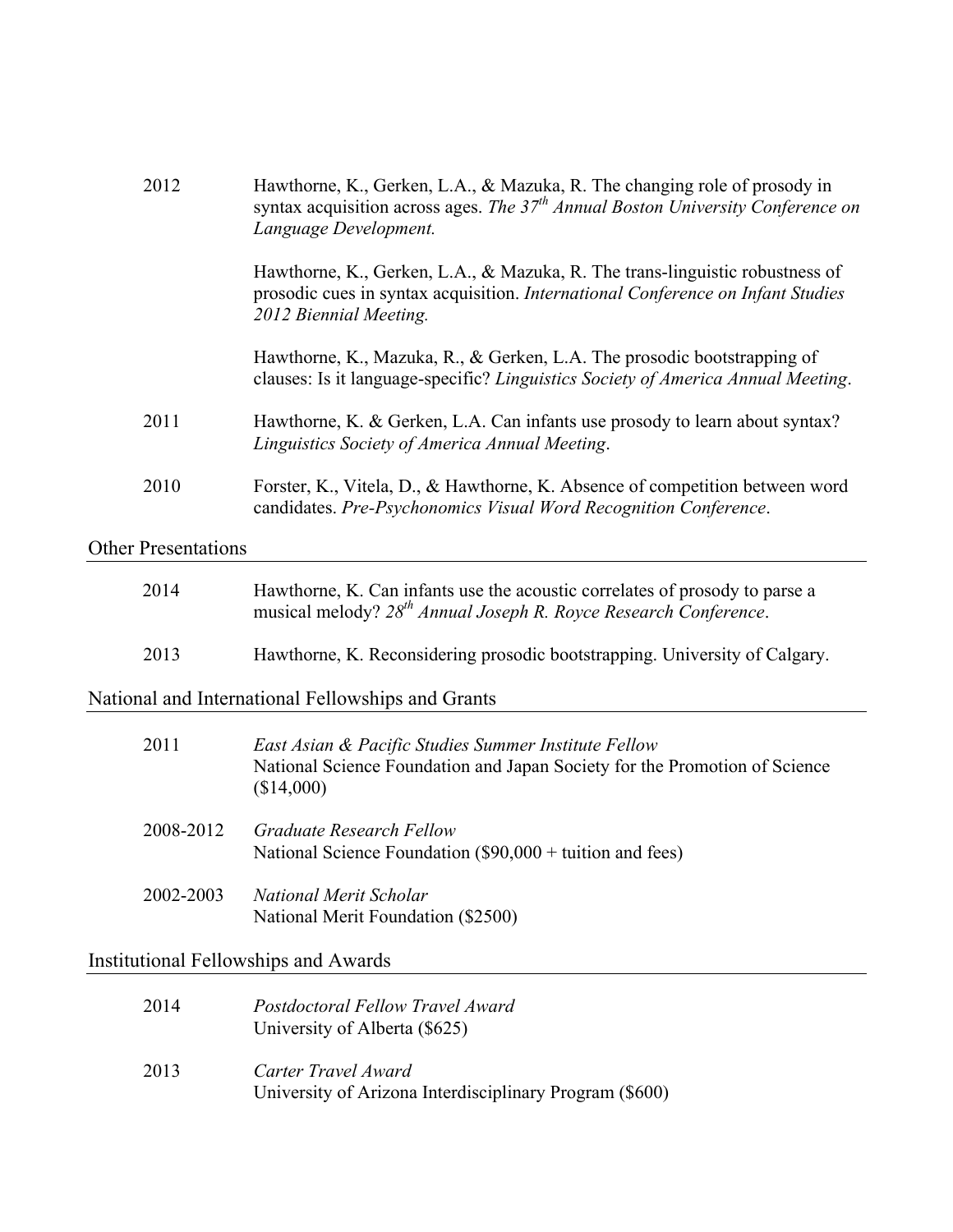| 2012                       | Hawthorne, K., Gerken, L.A., & Mazuka, R. The changing role of prosody in<br>syntax acquisition across ages. The $37th$ Annual Boston University Conference on<br>Language Development.   |
|----------------------------|-------------------------------------------------------------------------------------------------------------------------------------------------------------------------------------------|
|                            | Hawthorne, K., Gerken, L.A., & Mazuka, R. The trans-linguistic robustness of<br>prosodic cues in syntax acquisition. International Conference on Infant Studies<br>2012 Biennial Meeting. |
|                            | Hawthorne, K., Mazuka, R., & Gerken, L.A. The prosodic bootstrapping of<br>clauses: Is it language-specific? Linguistics Society of America Annual Meeting.                               |
| 2011                       | Hawthorne, K. & Gerken, L.A. Can infants use prosody to learn about syntax?<br>Linguistics Society of America Annual Meeting.                                                             |
| 2010                       | Forster, K., Vitela, D., & Hawthorne, K. Absence of competition between word<br>candidates. Pre-Psychonomics Visual Word Recognition Conference.                                          |
| <b>Other Presentations</b> |                                                                                                                                                                                           |

| 2014 | Hawthorne, K. Can infants use the acoustic correlates of prosody to parse a<br>musical melody? $28th$ Annual Joseph R. Royce Research Conference. |
|------|---------------------------------------------------------------------------------------------------------------------------------------------------|
| 2013 | Hawthorne, K. Reconsidering prosodic bootstrapping. University of Calgary.                                                                        |

National and International Fellowships and Grants

| 2011      | East Asian & Pacific Studies Summer Institute Fellow<br>National Science Foundation and Japan Society for the Promotion of Science<br>(\$14,000) |
|-----------|--------------------------------------------------------------------------------------------------------------------------------------------------|
| 2008-2012 | Graduate Research Fellow<br>National Science Foundation $(\$90,000 +$ tuition and fees)                                                          |
| 2002-2003 | National Merit Scholar<br>National Merit Foundation (\$2500)                                                                                     |

## Institutional Fellowships and Awards

| 2014 | Postdoctoral Fellow Travel Award<br>University of Alberta (\$625)              |
|------|--------------------------------------------------------------------------------|
| 2013 | Carter Travel Award<br>University of Arizona Interdisciplinary Program (\$600) |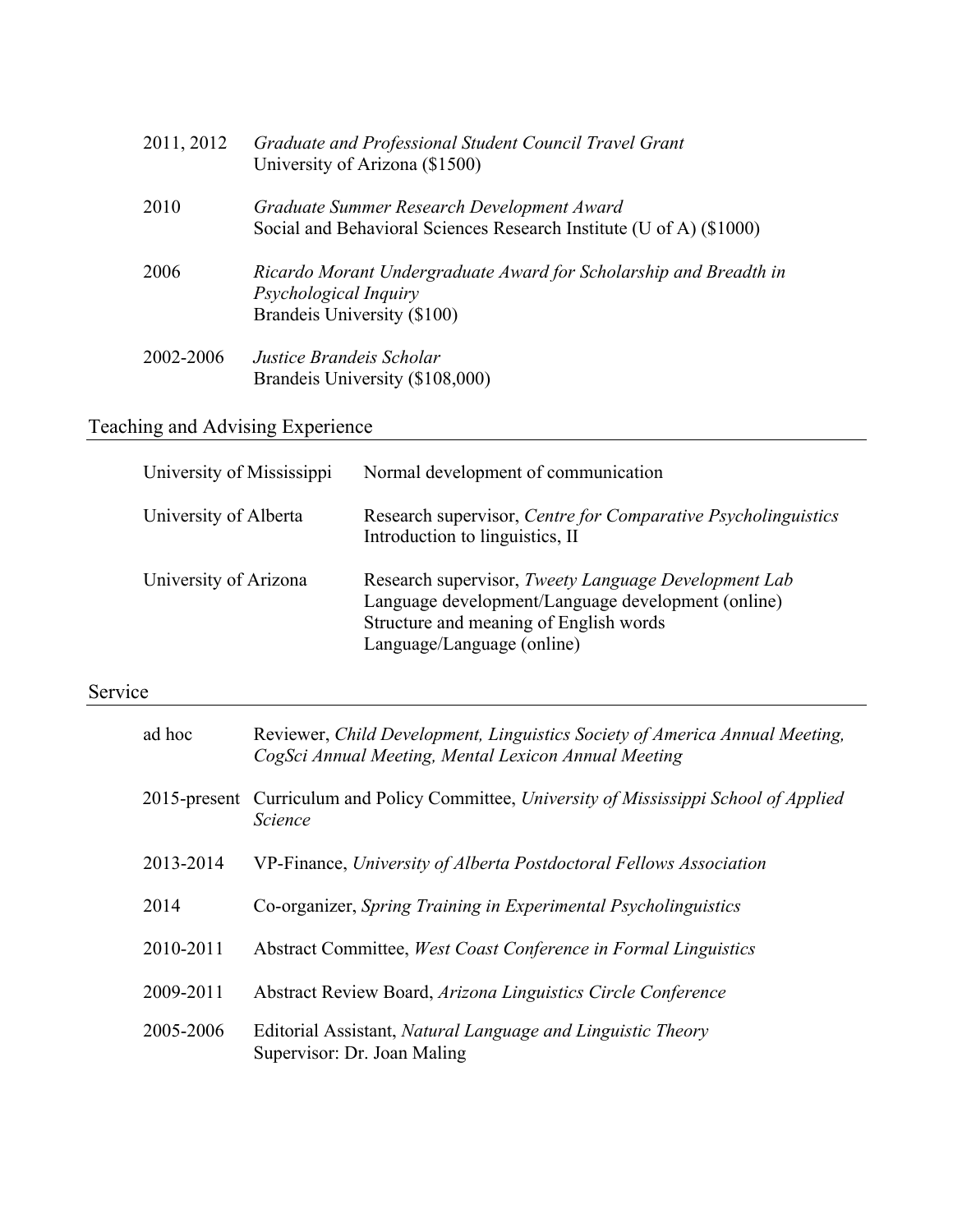| 2011, 2012 | Graduate and Professional Student Council Travel Grant<br>University of Arizona (\$1500)                                  |
|------------|---------------------------------------------------------------------------------------------------------------------------|
| 2010       | Graduate Summer Research Development Award<br>Social and Behavioral Sciences Research Institute (U of A) (\$1000)         |
| 2006       | Ricardo Morant Undergraduate Award for Scholarship and Breadth in<br>Psychological Inquiry<br>Brandeis University (\$100) |
| 2002-2006  | Justice Brandeis Scholar<br>Brandeis University (\$108,000)                                                               |

Teaching and Advising Experience

| University of Mississippi | Normal development of communication                                                                                                                                                |
|---------------------------|------------------------------------------------------------------------------------------------------------------------------------------------------------------------------------|
| University of Alberta     | Research supervisor, Centre for Comparative Psycholinguistics<br>Introduction to linguistics, II                                                                                   |
| University of Arizona     | Research supervisor, Tweety Language Development Lab<br>Language development/Language development (online)<br>Structure and meaning of English words<br>Language/Language (online) |

## Service

| ad hoc    | Reviewer, Child Development, Linguistics Society of America Annual Meeting,<br>CogSci Annual Meeting, Mental Lexicon Annual Meeting |
|-----------|-------------------------------------------------------------------------------------------------------------------------------------|
|           | 2015-present Curriculum and Policy Committee, University of Mississippi School of Applied<br><b>Science</b>                         |
| 2013-2014 | VP-Finance, University of Alberta Postdoctoral Fellows Association                                                                  |
| 2014      | Co-organizer, Spring Training in Experimental Psycholinguistics                                                                     |
| 2010-2011 | Abstract Committee, West Coast Conference in Formal Linguistics                                                                     |
| 2009-2011 | Abstract Review Board, Arizona Linguistics Circle Conference                                                                        |
| 2005-2006 | Editorial Assistant, Natural Language and Linguistic Theory<br>Supervisor: Dr. Joan Maling                                          |